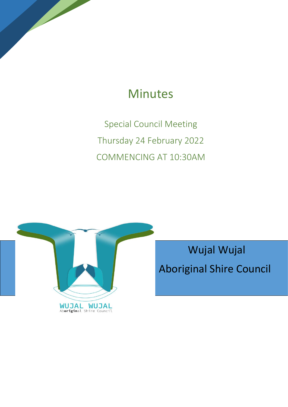# Minutes

Special Council Meeting Thursday 24 February 2022 COMMENCING AT 10:30AM



 Wujal Wujal Aboriginal Shire Council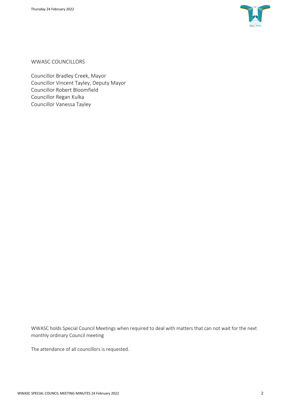

WWASC COUNCILLORS

Councillor Bradley Creek, Mayor Councillor Vincent Tayley, Deputy Mayor Councillor Robert Bloomfield Councillor Regan Kulka Councillor Vanessa Tayley

WWASC holds Special Council Meetings when required to deal with matters that can not wait for the next monthly ordinary Council meeting

The attendance of all councillors is requested.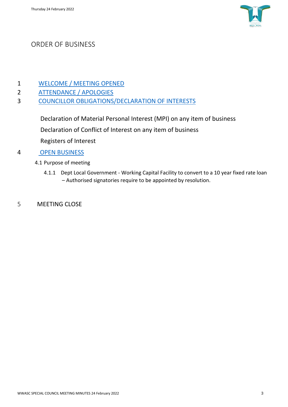

## ORDER OF BUSINESS

- 1 [WELCOME / MEETING OPENED](#page-3-0)
- 2 [ATTENDANCE / APOLOGIES](#page-3-1)
- 3 [COUNCILLOR OBLIGATIONS/DECLARATION OF INTERESTS](#page-3-2)

Declaration of Material Personal Interest (MPI) on any item of business Declaration of Conflict of Interest on any item of business Registers of Interest

#### 4 [OPEN BUSINESS](#page-3-3)

- 4.1 Purpose of meeting
	- 4.1.1 Dept Local Government Working Capital Facility to convert to a 10 year fixed rate loan – Authorised signatories require to be appointed by resolution.
- 5 MEETING CLOSE